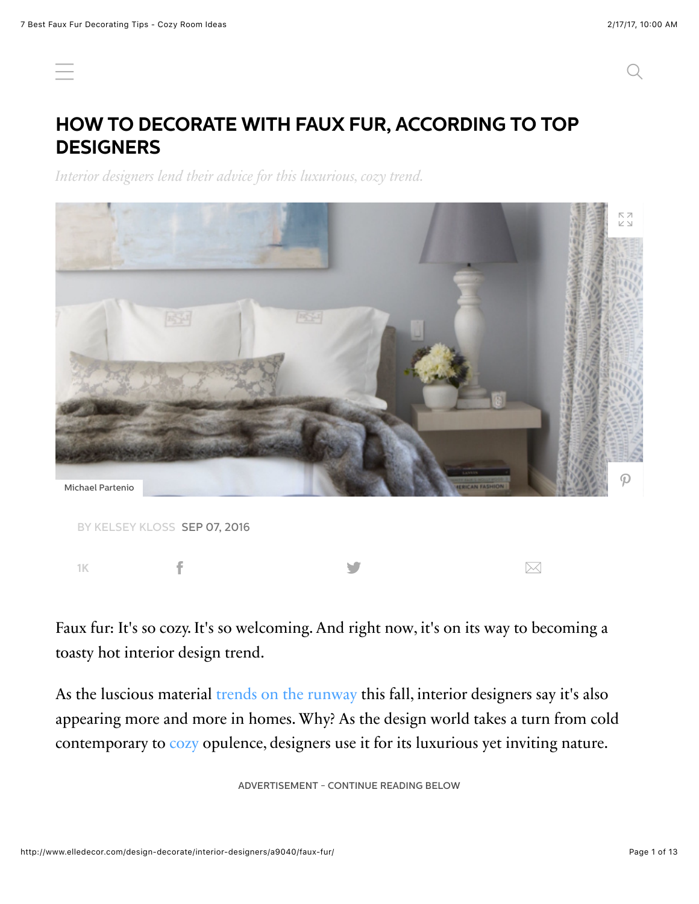# **HOW TO DECORATE WITH FAUX FUR, ACCORDING TO TOP DESIGNERS**

*Interior designers lend their advice for this luxurious, cozy trend.*



Faux fur: It's so cozy. It's so welcoming. And right now, it's on its way to becoming a toasty hot interior design trend.

As the luscious material [trends on the runway](http://www.vogue.com/13427555/real-fur-faux-fur-fall-2016-fashion-trend-earth-day/) this fall, interior designers say it's also appearing more and more in homes. Why? As the design world takes a turn from cold contemporary to [cozy](http://www.elledecor.com/design-decorate/room-ideas/advice/g2613/fall-color-room-decor-inspiration/) opulence, designers use it for its luxurious yet inviting nature.

ADVERTISEMENT - CONTINUE READING BELOW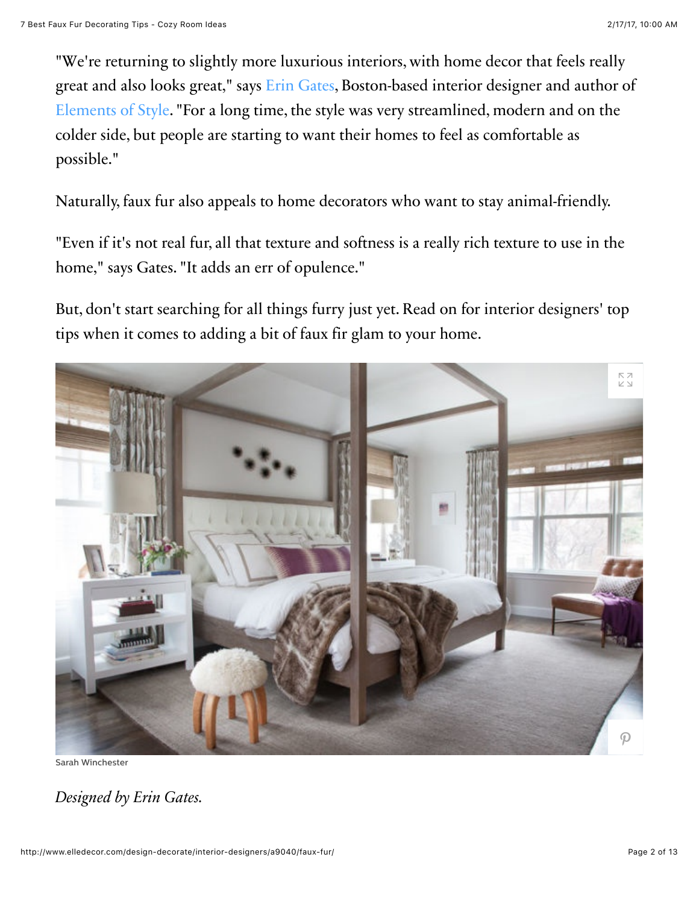"We're returning to slightly more luxurious interiors, with home decor that feels really great and also looks great," says [Erin Gates](http://www.elementsofstyleblog.com/portfolio), Boston-based interior designer and author of [Elements of Style.](https://www.amazon.com/Elements-Style-Designing-Home-Life/dp/1476744874/ref=sr_1_2?s=books&ie=UTF8&qid=1472688517&sr=1-2&keywords=elements+of+style&tag=elledecor_auto-append-20&ascsubtag=elledecor.article.9040) "For a long time, the style was very streamlined, modern and on the colder side, but people are starting to want their homes to feel as comfortable as possible."

Naturally, faux fur also appeals to home decorators who want to stay animal-friendly.

"Even if it's not real fur, all that texture and softness is a really rich texture to use in the home," says Gates. "It adds an err of opulence."

But, don't start searching for all things furry just yet. Read on for interior designers' top tips when it comes to adding a bit of faux fir glam to your home.



Sarah Winchester

*Designed by Erin Gates.*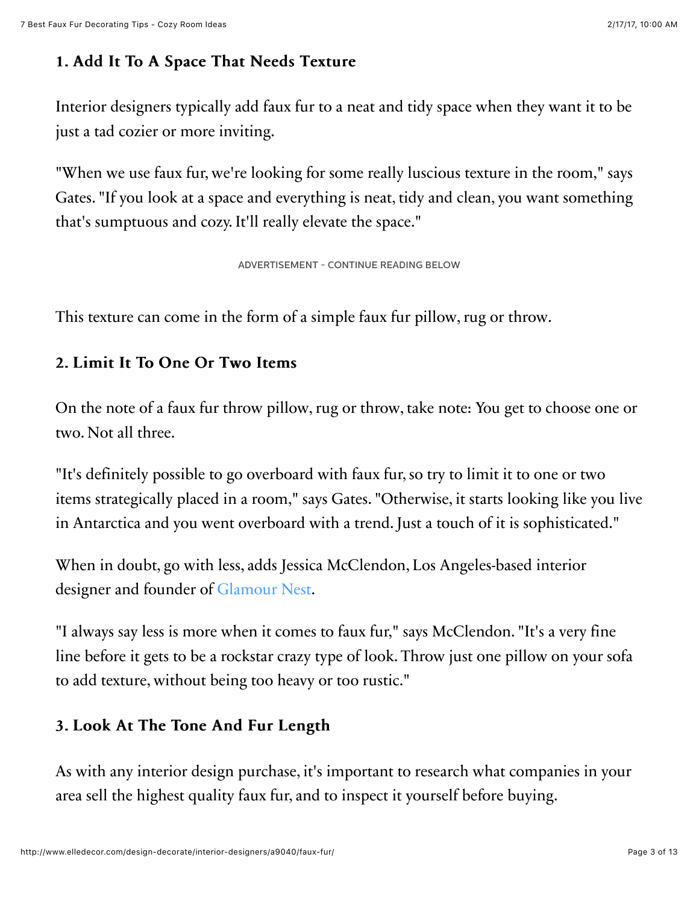## 1. Add It To A Space That Needs Texture

Interior designers typically add faux fur to a neat and tidy space when they want it to be just a tad cozier or more inviting.

"When we use faux fur, we're looking for some really luscious texture in the room," says Gates. "If you look at a space and everything is neat, tidy and clean, you want something that's sumptuous and cozy. It'll really elevate the space."

ADVERTISEMENT - CONTINUE READING BELOW

This texture can come in the form of a simple faux fur pillow, rug or throw.

### 2. Limit It To One Or Two Items 2. Limit It To One Or Two Items

On the note of a faux fur throw pillow, rug or throw, take note: You get to choose one or two. Not all three.

"It's definitely possible to go overboard with faux fur, so try to limit it to one or two items strategically placed in a room," says Gates. "Otherwise, it starts looking like you live in Antarctica and you went overboard with a trend. Just a touch of it is sophisticated."

When in doubt, go with less, adds Jessica McClendon, Los Angeles-based interior designer and founder of [Glamour Nest.](http://glamournest.com/)

"I always say less is more when it comes to faux fur," says McClendon. "It's a very fine line before it gets to be a rockstar crazy type of look. Throw just one pillow on your sofa to add texture, without being too heavy or too rustic."

### 3. Look At The Tone And Fur Length

As with any interior design purchase, it's important to research what companies in your area sell the highest quality faux fur, and to inspect it yourself before buying.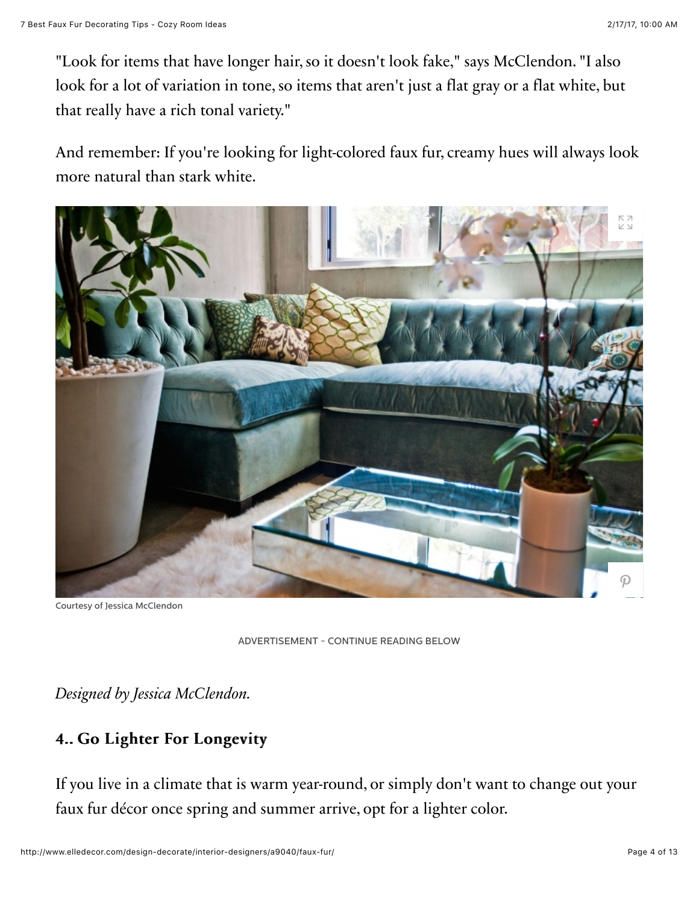"Look for items that have longer hair, so it doesn't look fake," says McClendon. "I also look for a lot of variation in tone, so items that aren't just a flat gray or a flat white, but that really have a rich tonal variety."

And remember: If you're looking for light-colored faux fur, creamy hues will always look more natural than stark white.



Courtesy of Jessica McClendon

*Designed by Jessica McClendon.*

### 4.. Go Lighter For Longevity 4.. Go Lighter For

If you live in a climate that is warm year-round, or simply don't want to change out your faux fur décor once spring and summer arrive, opt for a lighter color.

ADVERTISEMENT - CONTINUE READING BELOW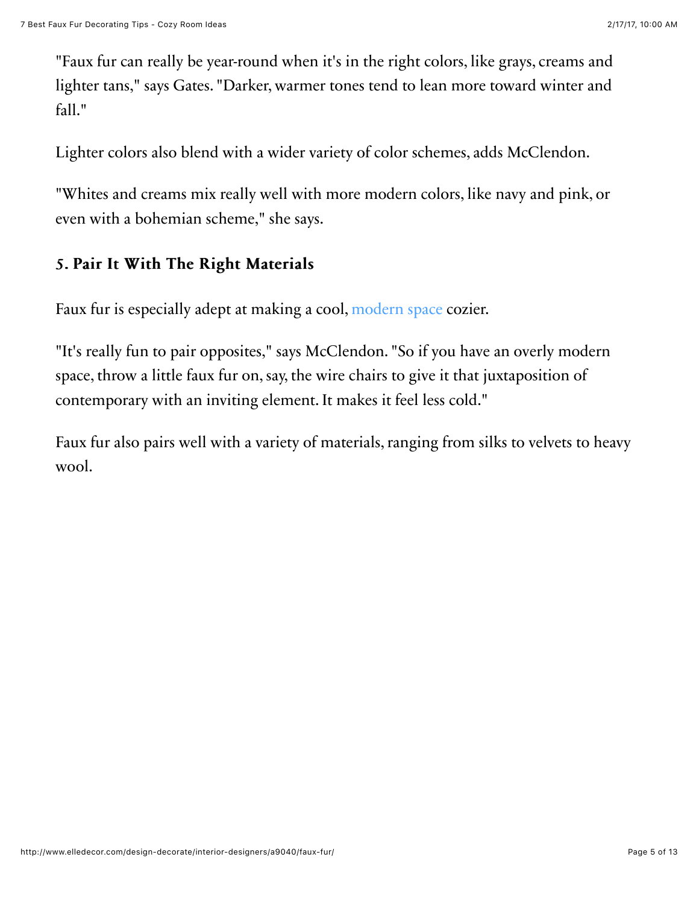"Faux fur can really be year-round when it's in the right colors, like grays, creams and lighter tans," says Gates. "Darker, warmer tones tend to lean more toward winter and fall."

Lighter colors also blend with a wider variety of color schemes, adds McClendon.

"Whites and creams mix really well with more modern colors, like navy and pink, or even with a bohemian scheme," she says.

### 5. Pair It With The Right Materials

Faux fur is especially adept at making a cool, [modern space](http://www.elledecor.com/design-decorate/room-ideas/how-to/g3134/modern-kitchen/) cozier.

"It's really fun to pair opposites," says McClendon. "So if you have an overly modern space, throw a little faux fur on, say, the wire chairs to give it that juxtaposition of contemporary with an inviting element. It makes it feel less cold."

Faux fur also pairs well with a variety of materials, ranging from silks to velvets to heavy wool.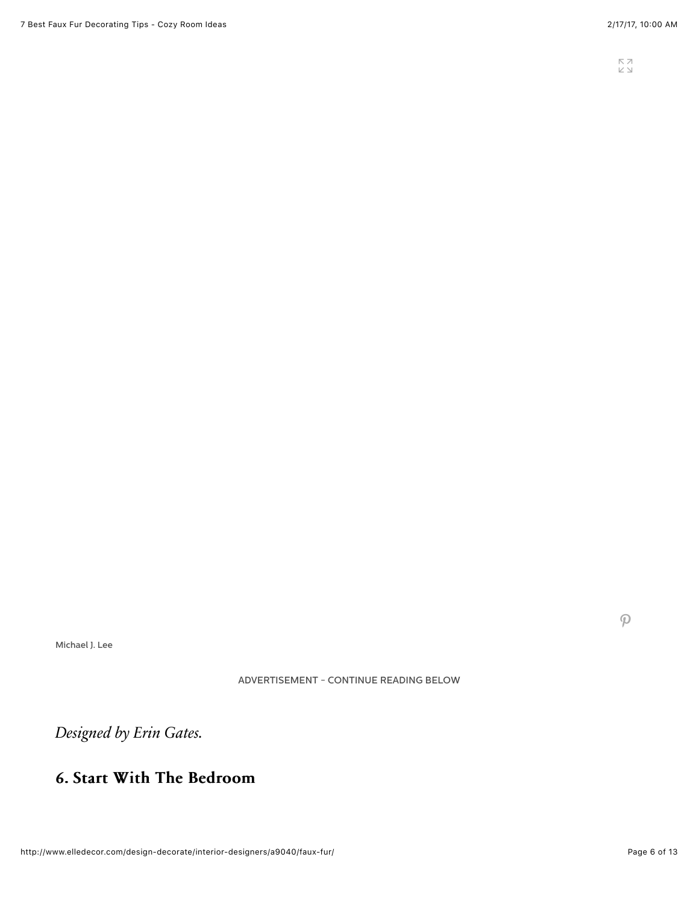Michael J. Lee

ADVERTISEMENT - CONTINUE READING BELOW

*Designed by Erin Gates.*

### 6. Start With The Bedroom

 $\mathcal{P}$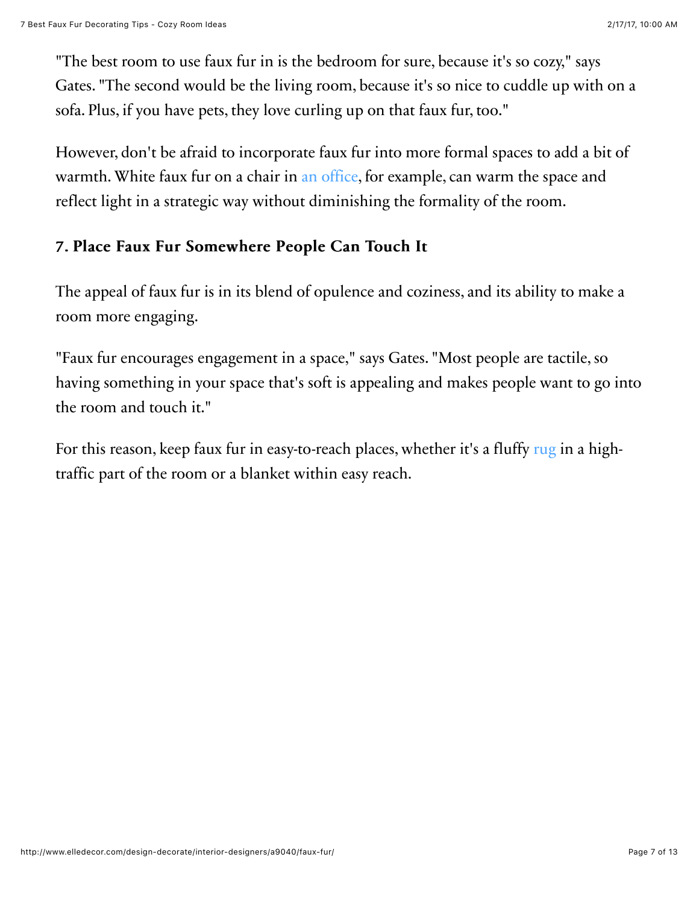"The best room to use faux fur in is the bedroom for sure, because it's so cozy," says Gates. "The second would be the living room, because it's so nice to cuddle up with on a sofa. Plus, if you have pets, they love curling up on that faux fur, too."

However, don't be afraid to incorporate faux fur into more formal spaces to add a bit of warmth. White faux fur on a chair in [an office,](http://www.elledecor.com/design-decorate/a7673/whats-up-moms-los-angeles-office/) for example, can warm the space and reflect light in a strategic way without diminishing the formality of the room.

### 7. Place Faux Fur Somewhere People Can Touch It

The appeal of faux fur is in its blend of opulence and coziness, and its ability to make a room more engaging.

"Faux fur encourages engagement in a space," says Gates. "Most people are tactile, so having something in your space that's soft is appealing and makes people want to go into the room and touch it."

For this reason, keep faux fur in easy-to-reach places, whether it's a fluffy [rug](http://www.elledecor.com/design-decorate/room-ideas/tips/g884/living-room-rugs/) in a hightraffic part of the room or a blanket within easy reach.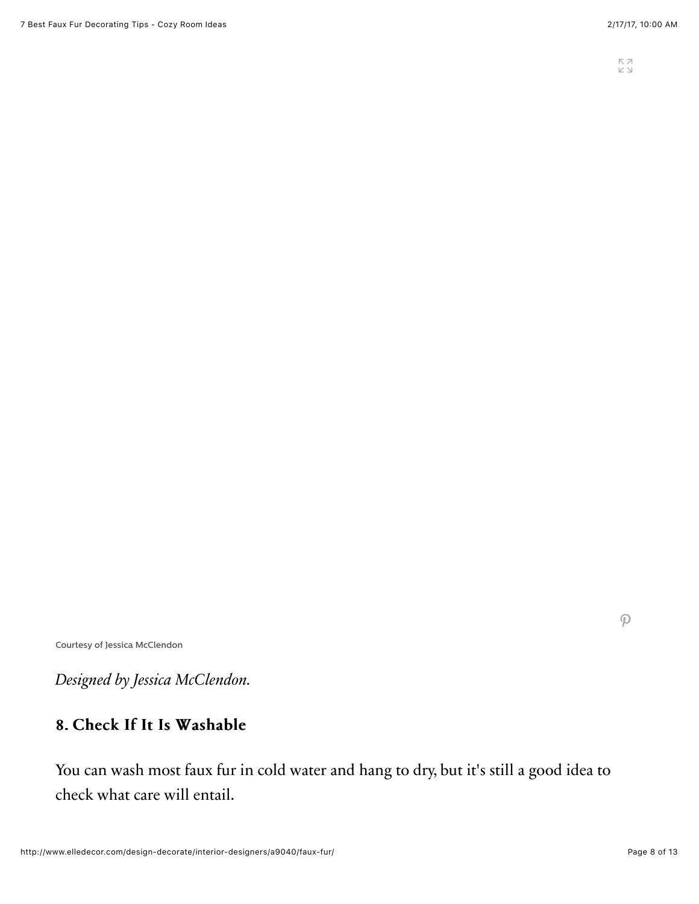Courtesy of Jessica McClendon

*Designed by Jessica McClendon.*

### 8. Check If It Is Washable

You can wash most faux fur in cold water and hang to dry, but it's still a good idea to check what care will entail.

 $\mathcal{P}$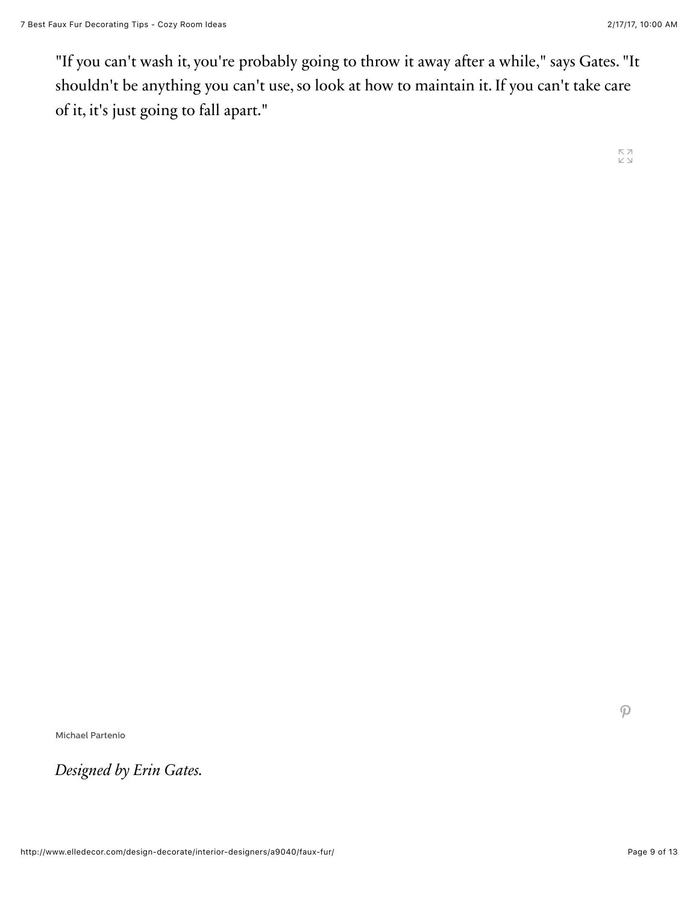"If you can't wash it, you're probably going to throw it away after a while," says Gates. "It shouldn't be anything you can't use, so look at how to maintain it. If you can't take care of it, it's just going to fall apart."

Michael Partenio

*Designed by Erin Gates.*

 $\mathcal{P}$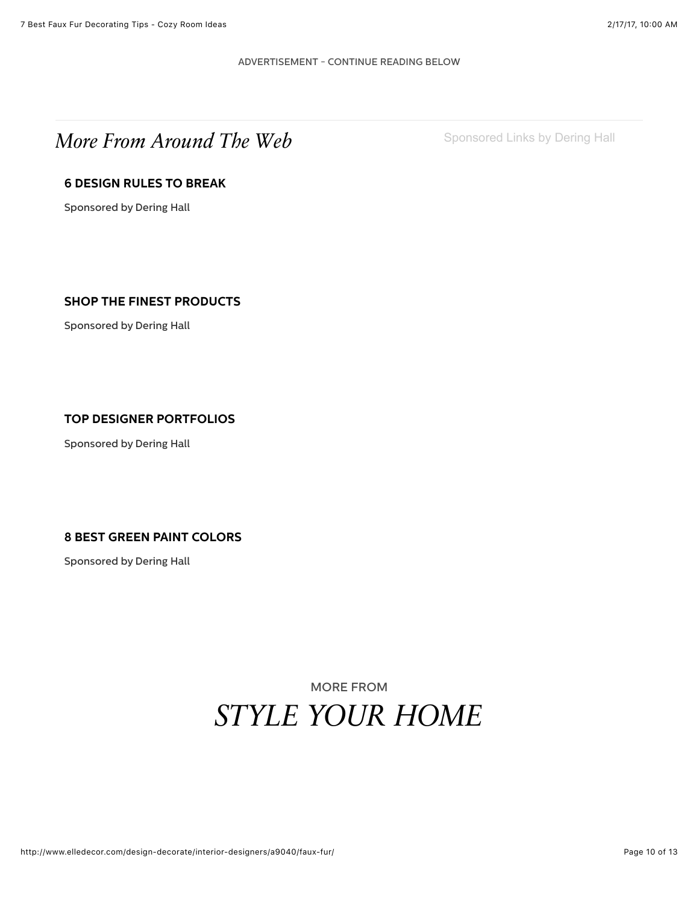#### ADVERTISEMENT - CONTINUE READING BELOW

# *More From Around The Web* [Sponsored Links by Dering Hall](https://deringhall.com/?utm_campaign=ed-widget-homepage&utm_content=sponsored-link&utm_medium=referral&utm_source=elle-decor-widget)

### **[6 DESIGN RULES TO BREAK](https://deringhall.com/daily-features/contributors/dering-hall/6-design-rules-to-break-according-to-top-designers?utm_campaign=ed-widget-6-design-rules-to-break-according-to-top-designerst&utm_medium=referral&utm_source=elle-decor-widget&utm_content=5)**

Sponsored by Dering Hall

### **[SHOP THE FINEST PRODUCTS](https://deringhall.com/collections/upholstered-living-room-chairs?utm_campaign=ed-widget-shop-the-finest-products&utm_medium=referral&utm_source=elle-decor-widget&utm_content=5)**

Sponsored by Dering Hall

#### **[TOP DESIGNER PORTFOLIOS](https://deringhall.com/design-professionals?utm_campaign=ed-widget-design-professionals&utm_medium=referral&utm_source=elle-decor-widget&utm_content=5)**

Sponsored by Dering Hall

#### **[8 BEST GREEN PAINT COLORS](https://deringhall.com/daily-features/contributors/dering-hall/8-designers-on-their-favorite-green-paint-colors?utm_campaign=ed-widget-8-designers-on-their-favorite-green-paint-colors&utm_medium=referral&utm_source=elle-decor-widget&utm_content=5)**

Sponsored by Dering Hall

# MORE FROM *[STYLE YOUR HOME](http://www.elledecor.com/style-your-home/)*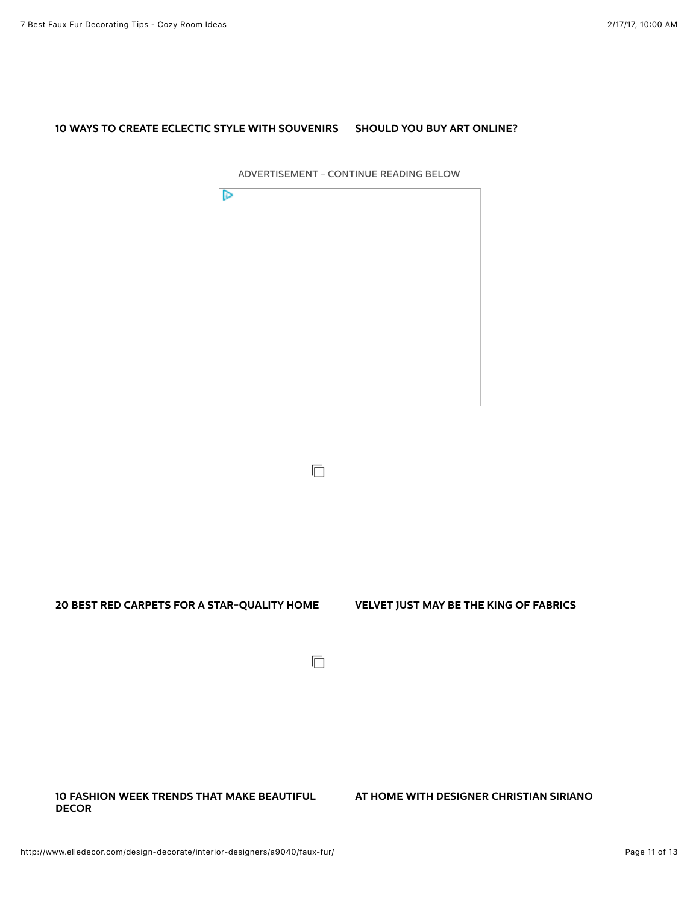#### **[10 WAYS TO CREATE ECLECTIC STYLE WITH SOUVENIRS](http://www.elledecor.com/design-decorate/interior-designers/g3368/worldy-eclectic-style/) [SHOULD YOU BUY ART ONLINE?](http://www.elledecor.com/design-decorate/a9151/how-to-buy-art-online-artsy/)**

ADVERTISEMENT - CONTINUE READING BELOW  $\triangleright$ 

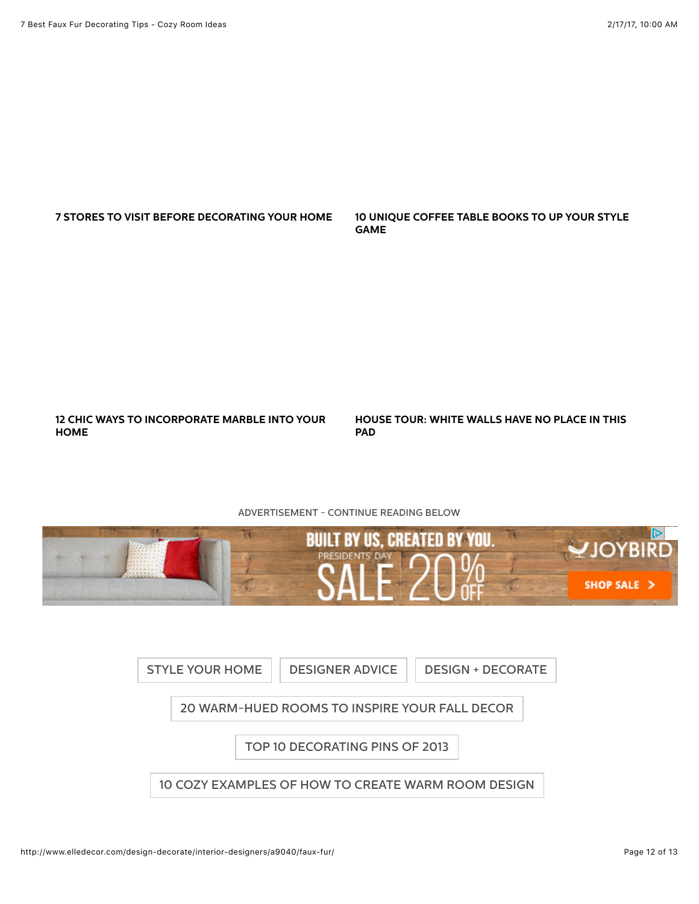#### **[7 STORES TO VISIT BEFORE DECORATING YOUR HOME](http://www.elledecor.com/design-decorate/room-ideas/g3203/retail-design/) [10 UNIQUE COFFEE TABLE BOOKS TO UP YOUR STYLE](http://www.elledecor.com/shopping/home-accessories/g3242/unique-coffee-table-books/)**

**[12 CHIC WAYS TO INCORPORATE MARBLE INTO YOUR](http://www.elledecor.com/design-decorate/trends/g3237/marble-home-decor-ideas/) HOME**

**[HOUSE TOUR: WHITE WALLS HAVE NO PLACE IN THIS](http://www.elledecor.com/design-decorate/house-interiors/a8881/beautiful-new-york-apartment/) PAD**

#### ADVERTISEMENT - CONTINUE READING BELOW



**GAME**